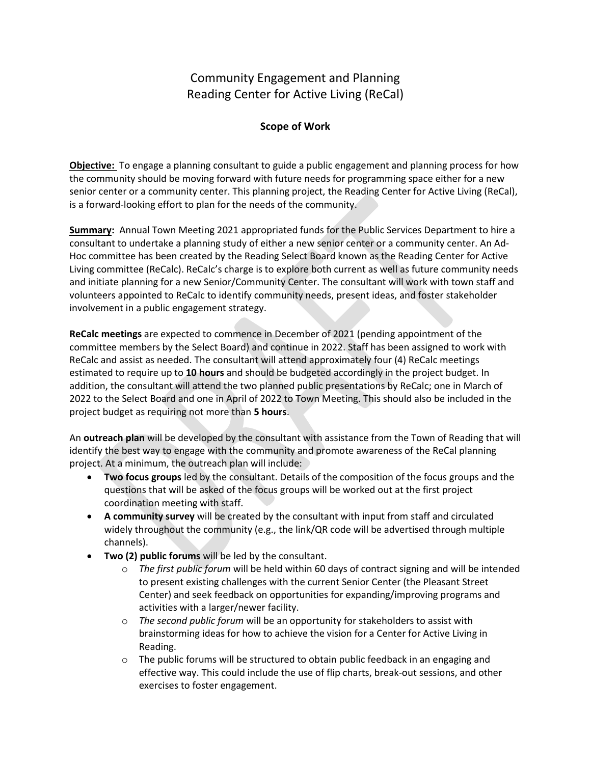## Community Engagement and Planning Reading Center for Active Living (ReCal)

## **Scope of Work**

**Objective:** To engage a planning consultant to guide a public engagement and planning process for how the community should be moving forward with future needs for programming space either for a new senior center or a community center. This planning project, the Reading Center for Active Living (ReCal), is a forward-looking effort to plan for the needs of the community.

**Summary:** Annual Town Meeting 2021 appropriated funds for the Public Services Department to hire a consultant to undertake a planning study of either a new senior center or a community center. An Ad-Hoc committee has been created by the Reading Select Board known as the Reading Center for Active Living committee (ReCalc). ReCalc's charge is to explore both current as well as future community needs and initiate planning for a new Senior/Community Center. The consultant will work with town staff and volunteers appointed to ReCalc to identify community needs, present ideas, and foster stakeholder involvement in a public engagement strategy.

**ReCalc meetings** are expected to commence in December of 2021 (pending appointment of the committee members by the Select Board) and continue in 2022. Staff has been assigned to work with ReCalc and assist as needed. The consultant will attend approximately four (4) ReCalc meetings estimated to require up to **10 hours** and should be budgeted accordingly in the project budget. In addition, the consultant will attend the two planned public presentations by ReCalc; one in March of 2022 to the Select Board and one in April of 2022 to Town Meeting. This should also be included in the project budget as requiring not more than **5 hours**.

An **outreach plan** will be developed by the consultant with assistance from the Town of Reading that will identify the best way to engage with the community and promote awareness of the ReCal planning project. At a minimum, the outreach plan will include:

- **Two focus groups** led by the consultant. Details of the composition of the focus groups and the questions that will be asked of the focus groups will be worked out at the first project coordination meeting with staff.
- **A community survey** will be created by the consultant with input from staff and circulated widely throughout the community (e.g., the link/QR code will be advertised through multiple channels).
- **Two (2) public forums** will be led by the consultant.
	- o *The first public forum* will be held within 60 days of contract signing and will be intended to present existing challenges with the current Senior Center (the Pleasant Street Center) and seek feedback on opportunities for expanding/improving programs and activities with a larger/newer facility.
	- o *The second public forum* will be an opportunity for stakeholders to assist with brainstorming ideas for how to achieve the vision for a Center for Active Living in Reading.
	- $\circ$  The public forums will be structured to obtain public feedback in an engaging and effective way. This could include the use of flip charts, break-out sessions, and other exercises to foster engagement.